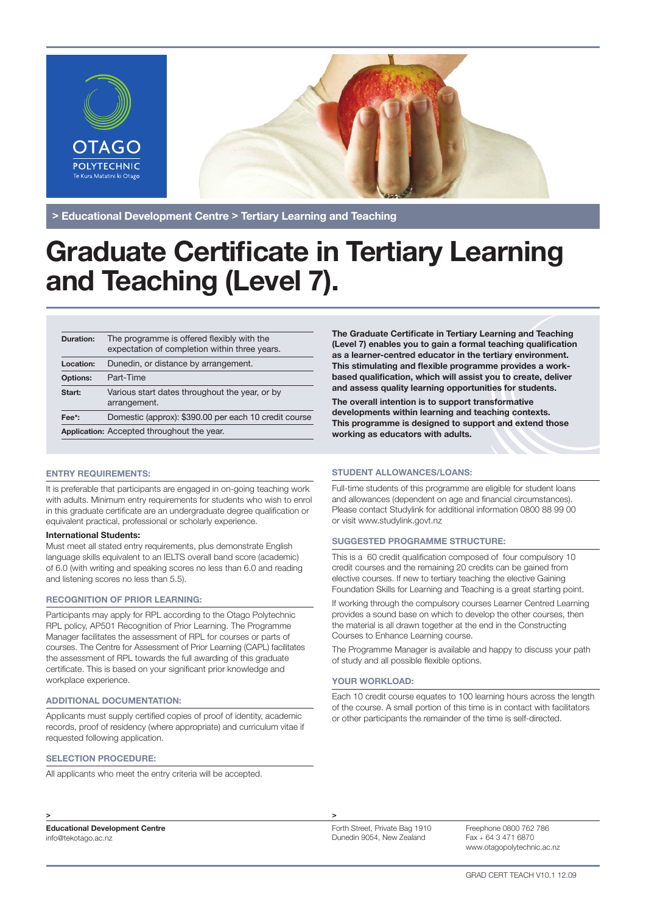

> Educational Development Centre > Tertiary Learning and Teaching

# **Graduate Certificate in Tertiary Learning** and Teaching (Level 7).

| <b>Duration:</b>                           | The programme is offered flexibly with the<br>expectation of completion within three years. |  |
|--------------------------------------------|---------------------------------------------------------------------------------------------|--|
| Location:                                  | Dunedin, or distance by arrangement.                                                        |  |
| <b>Options:</b>                            | Part-Time                                                                                   |  |
| Start:                                     | Various start dates throughout the year, or by<br>arrangement.                              |  |
| Fee*:                                      | Domestic (approx): \$390.00 per each 10 credit course                                       |  |
| Application: Accepted throughout the year. |                                                                                             |  |

# ENTRY REQUIREMENTS:

It is preferable that participants are engaged in on-going teaching work with adults. Minimum entry requirements for students who wish to enrol in this graduate certificate are an undergraduate degree qualification or equivalent practical, professional or scholarly experience.

#### International Students:

Must meet all stated entry requirements, plus demonstrate English language skills equivalent to an IELTS overall band score (academic) of 6.0 (with writing and speaking scores no less than 6.0 and reading and listening scores no less than 5.5).

# RECOGNITION OF PRIOR LEARNING:

Participants may apply for RPL according to the Otago Polytechnic RPL policy, AP501 Recognition of Prior Learning. The Programme Manager facilitates the assessment of RPL for courses or parts of courses. The Centre for Assessment of Prior Learning (CAPL) facilitates the assessment of RPL towards the full awarding of this graduate certificate. This is based on your significant prior knowledge and workplace experience.

# ADDITIONAL DOCUMENTATION:

Applicants must supply certified copies of proof of identity, academic records, proof of residency (where appropriate) and curriculum vitae if requested following application.

# SELECTION PROCEDURE:

All applicants who meet the entry criteria will be accepted.

The Graduate Certificate in Tertiary Learning and Teaching (Level 7) enables you to gain a formal teaching qualification as a learner-centred educator in the tertiary environment. This stimulating and flexible programme provides a workbased qualification, which will assist you to create, deliver and assess quality learning opportunities for students.

The overall intention is to support transformative developments within learning and teaching contexts. This programme is designed to support and extend those working as educators with adults.

# STUDENT ALLOWANCES/LOANS:

Full-time students of this programme are eligible for student loans and allowances (dependent on age and financial circumstances). Please contact Studylink for additional information 0800 88 99 00 or visit www.studylink.govt.nz

#### SUGGESTED PROGRAMME STRUCTURE:

This is a 60 credit qualification composed of four compulsory 10 credit courses and the remaining 20 credits can be gained from elective courses. If new to tertiary teaching the elective Gaining Foundation Skills for Learning and Teaching is a great starting point.

If working through the compulsory courses Learner Centred Learning provides a sound base on which to develop the other courses, then the material is all drawn together at the end in the Constructing Courses to Enhance Learning course.

The Programme Manager is available and happy to discuss your path of study and all possible flexible options.

# YOUR WORKLOAD:

Each 10 credit course equates to 100 learning hours across the length of the course. A small portion of this time is in contact with facilitators or other participants the remainder of the time is self-directed.

> >

Educational Development Centre info@tekotago.ac.nz

Freephone 0800 762 786 Fax + 64 3 471 6870 www.otagopolytechnic.ac.nz